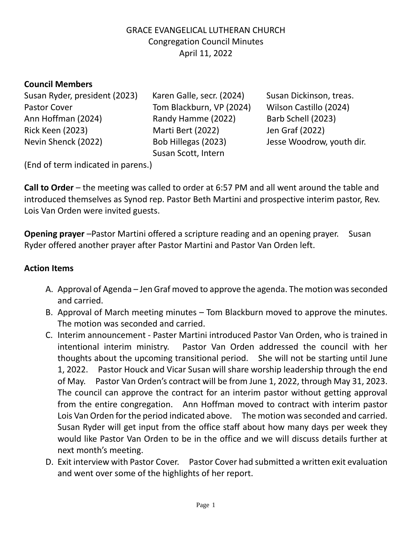# GRACE EVANGELICAL LUTHERAN CHURCH Congregation Council Minutes April 11, 2022

## **Council Members**

Susan Ryder, president (2023) Karen Galle, secr. (2024) Susan Dickinson, treas. Pastor Cover Tom Blackburn, VP (2024) Wilson Castillo (2024) Ann Hoffman (2024) Randy Hamme (2022) Barb Schell (2023) Rick Keen (2023) Marti Bert (2022) Jen Graf (2022) Nevin Shenck (2022) Bob Hillegas (2023) Jesse Woodrow, youth dir.

Susan Scott, Intern

(End of term indicated in parens.)

**Call to Order** – the meeting was called to order at 6:57 PM and all went around the table and introduced themselves as Synod rep. Pastor Beth Martini and prospective interim pastor, Rev. Lois Van Orden were invited guests.

**Opening prayer** –Pastor Martini offered a scripture reading and an opening prayer. Susan Ryder offered another prayer after Pastor Martini and Pastor Van Orden left.

#### **Action Items**

- A. Approval of Agenda Jen Graf moved to approve the agenda. The motion was seconded and carried.
- B. Approval of March meeting minutes Tom Blackburn moved to approve the minutes. The motion was seconded and carried.
- C. Interim announcement Paster Martini introduced Pastor Van Orden, who is trained in intentional interim ministry. Pastor Van Orden addressed the council with her thoughts about the upcoming transitional period. She will not be starting until June 1, 2022. Pastor Houck and Vicar Susan will share worship leadership through the end of May. Pastor Van Orden's contract will be from June 1, 2022, through May 31, 2023. The council can approve the contract for an interim pastor without getting approval from the entire congregation. Ann Hoffman moved to contract with interim pastor Lois Van Orden for the period indicated above. The motion was seconded and carried. Susan Ryder will get input from the office staff about how many days per week they would like Pastor Van Orden to be in the office and we will discuss details further at next month's meeting.
- D. Exit interview with Pastor Cover. Pastor Cover had submitted a written exit evaluation and went over some of the highlights of her report.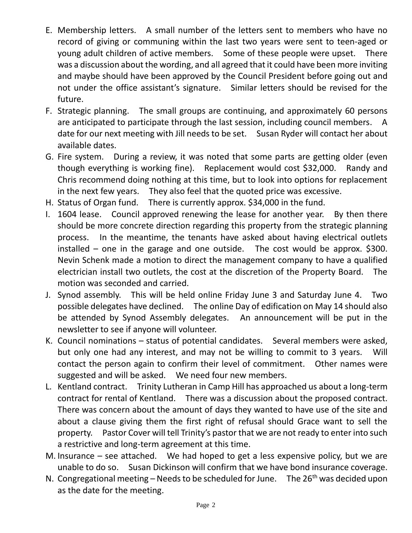- E. Membership letters. A small number of the letters sent to members who have no record of giving or communing within the last two years were sent to teen-aged or young adult children of active members. Some of these people were upset. There was a discussion about the wording, and all agreed that it could have been more inviting and maybe should have been approved by the Council President before going out and not under the office assistant's signature. Similar letters should be revised for the future.
- F. Strategic planning. The small groups are continuing, and approximately 60 persons are anticipated to participate through the last session, including council members. A date for our next meeting with Jill needs to be set. Susan Ryder will contact her about available dates.
- G. Fire system. During a review, it was noted that some parts are getting older (even though everything is working fine). Replacement would cost \$32,000. Randy and Chris recommend doing nothing at this time, but to look into options for replacement in the next few years. They also feel that the quoted price was excessive.
- H. Status of Organ fund. There is currently approx. \$34,000 in the fund.
- I. 1604 lease. Council approved renewing the lease for another year. By then there should be more concrete direction regarding this property from the strategic planning process. In the meantime, the tenants have asked about having electrical outlets installed – one in the garage and one outside. The cost would be approx. \$300. Nevin Schenk made a motion to direct the management company to have a qualified electrician install two outlets, the cost at the discretion of the Property Board. The motion was seconded and carried.
- J. Synod assembly. This will be held online Friday June 3 and Saturday June 4. Two possible delegates have declined. The online Day of edification on May 14 should also be attended by Synod Assembly delegates. An announcement will be put in the newsletter to see if anyone will volunteer.
- K. Council nominations status of potential candidates. Several members were asked, but only one had any interest, and may not be willing to commit to 3 years. Will contact the person again to confirm their level of commitment. Other names were suggested and will be asked. We need four new members.
- L. Kentland contract. Trinity Lutheran in Camp Hill has approached us about a long-term contract for rental of Kentland. There was a discussion about the proposed contract. There was concern about the amount of days they wanted to have use of the site and about a clause giving them the first right of refusal should Grace want to sell the property. Pastor Cover will tell Trinity's pastor that we are not ready to enter into such a restrictive and long-term agreement at this time.
- M. Insurance  $-$  see attached. We had hoped to get a less expensive policy, but we are unable to do so. Susan Dickinson will confirm that we have bond insurance coverage.
- N. Congregational meeting Needs to be scheduled for June. The  $26<sup>th</sup>$  was decided upon as the date for the meeting.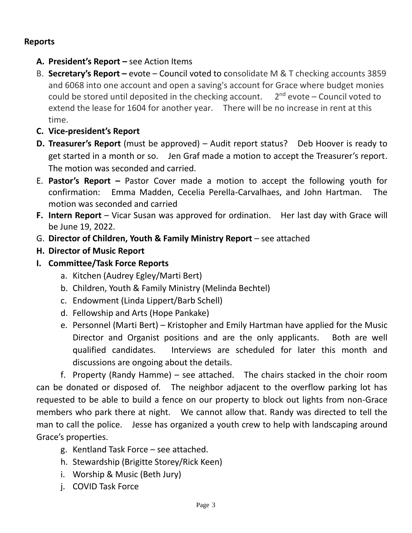# **Reports**

- **A. President's Report –** see Action Items
- B. **Secretary's Report –** evote Council voted to consolidate M & T checking accounts 3859 and 6068 into one account and open a saving's account for Grace where budget monies could be stored until deposited in the checking account.  $2^{nd}$  evote  $-$  Council voted to extend the lease for 1604 for another year. There will be no increase in rent at this time.
- **C. Vice-president's Report**
- **D. Treasurer's Report** (must be approved) Audit report status? Deb Hoover is ready to get started in a month or so. Jen Graf made a motion to accept the Treasurer's report. The motion was seconded and carried.
- E. **Pastor's Report –** Pastor Cover made a motion to accept the following youth for confirmation: Emma Madden, Cecelia Perella-Carvalhaes, and John Hartman. The motion was seconded and carried
- **F. Intern Report** Vicar Susan was approved for ordination. Her last day with Grace will be June 19, 2022.
- G. **Director of Children, Youth & Family Ministry Report** see attached
- **H. Director of Music Report**
- **I. Committee/Task Force Reports** 
	- a. Kitchen (Audrey Egley/Marti Bert)
	- b. Children, Youth & Family Ministry (Melinda Bechtel)
	- c. Endowment (Linda Lippert/Barb Schell)
	- d. Fellowship and Arts (Hope Pankake)
	- e. Personnel (Marti Bert) Kristopher and Emily Hartman have applied for the Music Director and Organist positions and are the only applicants. Both are well qualified candidates. Interviews are scheduled for later this month and discussions are ongoing about the details.

f. Property (Randy Hamme) – see attached. The chairs stacked in the choir room can be donated or disposed of. The neighbor adjacent to the overflow parking lot has requested to be able to build a fence on our property to block out lights from non-Grace members who park there at night. We cannot allow that. Randy was directed to tell the man to call the police. Jesse has organized a youth crew to help with landscaping around Grace's properties.

- g. Kentland Task Force see attached.
- h. Stewardship (Brigitte Storey/Rick Keen)
- i. Worship & Music (Beth Jury)
- j. COVID Task Force